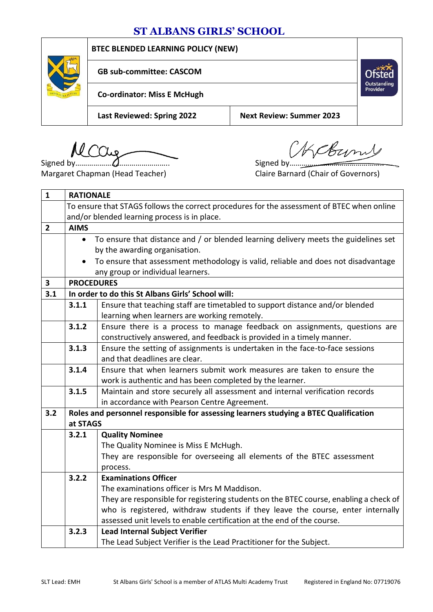## **ST ALBANS GIRLS' SCHOOL**

|  | <b>BTEC BLENDED LEARNING POLICY (NEW)</b> |                                 |                         |  |
|--|-------------------------------------------|---------------------------------|-------------------------|--|
|  | <b>GB sub-committee: CASCOM</b>           |                                 | Outstanding<br>Provider |  |
|  | <b>Co-ordinator: Miss E McHugh</b>        |                                 |                         |  |
|  | <b>Last Reviewed: Spring 2022</b>         | <b>Next Review: Summer 2023</b> |                         |  |

MCCLL<sub>9</sub> MECCLL<sub>9</sub> Signed by  $M$ ِمِىلا

Margaret Chapman (Head Teacher) Claire Barnard (Chair of Governors)

| $\mathbf{1}$   | <b>RATIONALE</b>                                                                                |                                                                                       |  |
|----------------|-------------------------------------------------------------------------------------------------|---------------------------------------------------------------------------------------|--|
|                | To ensure that STAGS follows the correct procedures for the assessment of BTEC when online      |                                                                                       |  |
|                | and/or blended learning process is in place.                                                    |                                                                                       |  |
| $\overline{2}$ | <b>AIMS</b>                                                                                     |                                                                                       |  |
|                | $\bullet$                                                                                       | To ensure that distance and / or blended learning delivery meets the guidelines set   |  |
|                | by the awarding organisation.                                                                   |                                                                                       |  |
|                | To ensure that assessment methodology is valid, reliable and does not disadvantage<br>$\bullet$ |                                                                                       |  |
|                | any group or individual learners.                                                               |                                                                                       |  |
| 3              | <b>PROCEDURES</b>                                                                               |                                                                                       |  |
| 3.1            | In order to do this St Albans Girls' School will:                                               |                                                                                       |  |
|                | 3.1.1                                                                                           | Ensure that teaching staff are timetabled to support distance and/or blended          |  |
|                |                                                                                                 | learning when learners are working remotely.                                          |  |
|                | 3.1.2                                                                                           | Ensure there is a process to manage feedback on assignments, questions are            |  |
|                |                                                                                                 | constructively answered, and feedback is provided in a timely manner.                 |  |
|                | 3.1.3                                                                                           | Ensure the setting of assignments is undertaken in the face-to-face sessions          |  |
|                |                                                                                                 | and that deadlines are clear.                                                         |  |
|                | 3.1.4                                                                                           | Ensure that when learners submit work measures are taken to ensure the                |  |
|                |                                                                                                 | work is authentic and has been completed by the learner.                              |  |
|                | 3.1.5                                                                                           | Maintain and store securely all assessment and internal verification records          |  |
|                |                                                                                                 | in accordance with Pearson Centre Agreement.                                          |  |
| 3.2            |                                                                                                 | Roles and personnel responsible for assessing learners studying a BTEC Qualification  |  |
|                | at STAGS                                                                                        |                                                                                       |  |
|                | 3.2.1                                                                                           | <b>Quality Nominee</b>                                                                |  |
|                |                                                                                                 | The Quality Nominee is Miss E McHugh.                                                 |  |
|                |                                                                                                 | They are responsible for overseeing all elements of the BTEC assessment               |  |
|                |                                                                                                 | process.                                                                              |  |
|                | 3.2.2<br><b>Examinations Officer</b>                                                            |                                                                                       |  |
|                |                                                                                                 | The examinations officer is Mrs M Maddison.                                           |  |
|                |                                                                                                 | They are responsible for registering students on the BTEC course, enabling a check of |  |
|                |                                                                                                 | who is registered, withdraw students if they leave the course, enter internally       |  |
|                |                                                                                                 | assessed unit levels to enable certification at the end of the course.                |  |
|                | <b>Lead Internal Subject Verifier</b><br>3.2.3                                                  |                                                                                       |  |
|                |                                                                                                 | The Lead Subject Verifier is the Lead Practitioner for the Subject.                   |  |